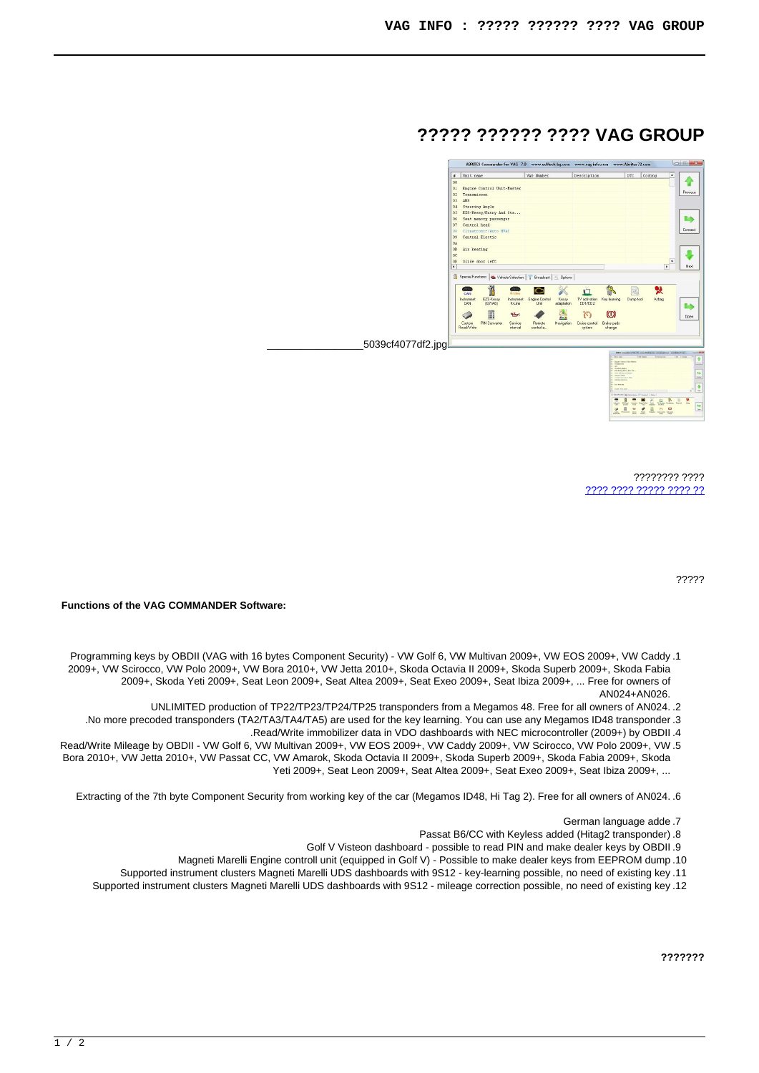## **GROUP VAG????? ?????? ????**



???? ???????? [?? ???? ????? ???? ????](http://www.aalocks.co.il/index.php?option=com_virtuemart&view=productdetails&task=askquestion&virtuemart_product_id=1122&virtuemart_category_id=12&tmpl=component)

?????

**Functions of the VAG COMMANDER Software:** 

- Programming keys by OBDII (VAG with 16 bytes Component Security) VW Golf 6, VW Multivan 2009+, VW EOS 2009+, VW Caddy .1 2009+, VW Scirocco, VW Polo 2009+, VW Bora 2010+, VW Jetta 2010+, Skoda Octavia II 2009+, Skoda Superb 2009+, Skoda Fabia 2009+, Skoda Yeti 2009+, Seat Leon 2009+, Seat Altea 2009+, Seat Exeo 2009+, Seat Ibiza 2009+, ... Free for owners of AN024+AN026.
	- UNLIMITED production of TP22/TP23/TP24/TP25 transponders from a Megamos 48. Free for all owners of AN024. .2
	- .No more precoded transponders (TA2/TA3/TA4/TA5) are used for the key learning. You can use any Megamos ID48 transponder .3
		- .Read/Write immobilizer data in VDO dashboards with NEC microcontroller (2009+) by OBDII.4
- Read/Write Mileage by OBDII VW Golf 6, VW Multivan 2009+, VW EOS 2009+, VW Caddy 2009+, VW Scirocco, VW Polo 2009+, VW .5 Bora 2010+, VW Jetta 2010+, VW Passat CC, VW Amarok, Skoda Octavia II 2009+, Skoda Superb 2009+, Skoda Fabia 2009+, Skoda Yeti 2009+, Seat Leon 2009+, Seat Altea 2009+, Seat Exeo 2009+, Seat Ibiza 2009+, ...

Extracting of the 7th byte Component Security from working key of the car (Megamos ID48, Hi Tag 2). Free for all owners of AN024. .6

- German language adde .7
- Passat B6/CC with Keyless added (Hitag 2transponder) 8
- Golf V Visteon dashboard possible to read PIN and make dealer keys by OBDII.9
- Magneti Marelli Engine controll unit (equipped in Golf V) Possible to make dealer keys from EEPROM dump .10
- Supported instrument clusters Magneti Marelli UDS dashboards with 9S12 key-learning possible, no need of existing key, 11
- Supported instrument clusters Magneti Marelli UDS dashboards with 9S12 mileage correction possible, no need of existing key .12